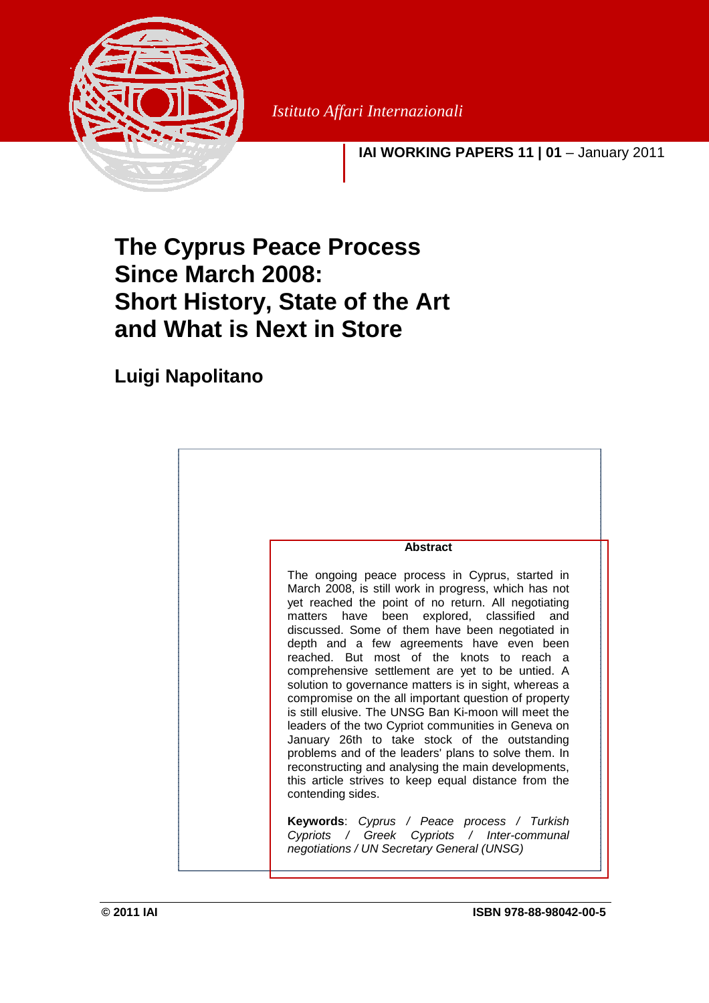

*Istituto Affari Internazionali*

**IAI WORKING PAPERS 11 | 01** – January 2011

# **The Cyprus Peace Process Since March 2008: Short History, State of the Art and What is Next in Store**

# **Luigi Napolitano**

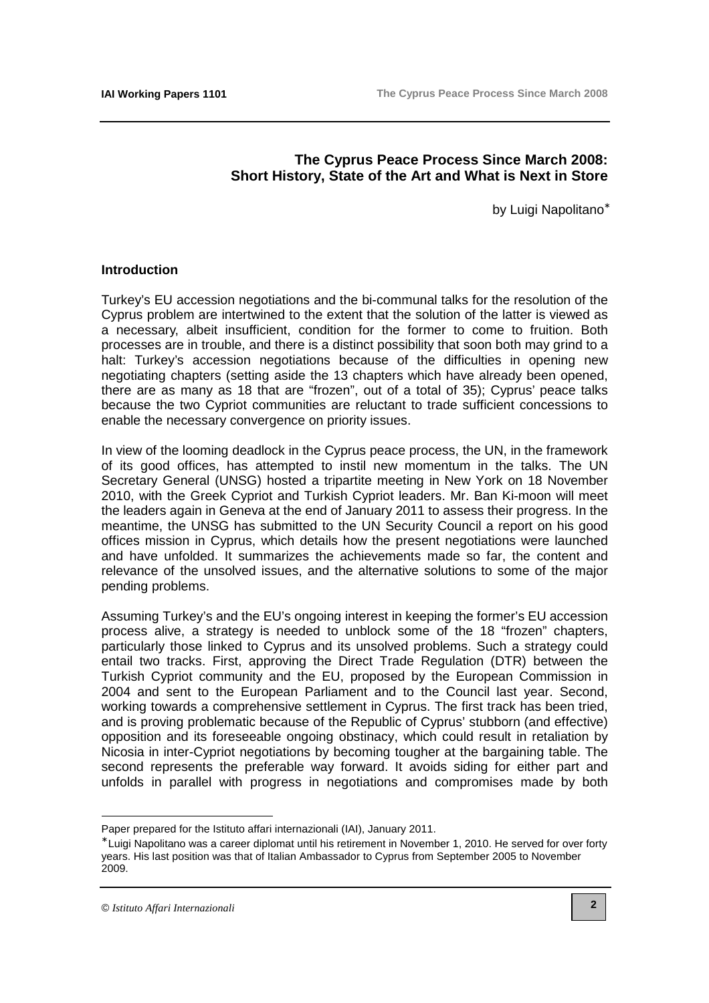## **The Cyprus Peace Process Since March 2008: Short History, State of the Art and What is Next in Store**

by Luigi Napolitano<sup>∗</sup>

#### **Introduction**

Turkey's EU accession negotiations and the bi-communal talks for the resolution of the Cyprus problem are intertwined to the extent that the solution of the latter is viewed as a necessary, albeit insufficient, condition for the former to come to fruition. Both processes are in trouble, and there is a distinct possibility that soon both may grind to a halt: Turkey's accession negotiations because of the difficulties in opening new negotiating chapters (setting aside the 13 chapters which have already been opened, there are as many as 18 that are "frozen", out of a total of 35); Cyprus' peace talks because the two Cypriot communities are reluctant to trade sufficient concessions to enable the necessary convergence on priority issues.

In view of the looming deadlock in the Cyprus peace process, the UN, in the framework of its good offices, has attempted to instil new momentum in the talks. The UN Secretary General (UNSG) hosted a tripartite meeting in New York on 18 November 2010, with the Greek Cypriot and Turkish Cypriot leaders. Mr. Ban Ki-moon will meet the leaders again in Geneva at the end of January 2011 to assess their progress. In the meantime, the UNSG has submitted to the UN Security Council a report on his good offices mission in Cyprus, which details how the present negotiations were launched and have unfolded. It summarizes the achievements made so far, the content and relevance of the unsolved issues, and the alternative solutions to some of the major pending problems.

Assuming Turkey's and the EU's ongoing interest in keeping the former's EU accession process alive, a strategy is needed to unblock some of the 18 "frozen" chapters, particularly those linked to Cyprus and its unsolved problems. Such a strategy could entail two tracks. First, approving the Direct Trade Regulation (DTR) between the Turkish Cypriot community and the EU, proposed by the European Commission in 2004 and sent to the European Parliament and to the Council last year. Second, working towards a comprehensive settlement in Cyprus. The first track has been tried, and is proving problematic because of the Republic of Cyprus' stubborn (and effective) opposition and its foreseeable ongoing obstinacy, which could result in retaliation by Nicosia in inter-Cypriot negotiations by becoming tougher at the bargaining table. The second represents the preferable way forward. It avoids siding for either part and unfolds in parallel with progress in negotiations and compromises made by both

 $\overline{a}$ 

Paper prepared for the Istituto affari internazionali (IAI), January 2011.

<sup>∗</sup> Luigi Napolitano was a career diplomat until his retirement in November 1, 2010. He served for over forty years. His last position was that of Italian Ambassador to Cyprus from September 2005 to November 2009.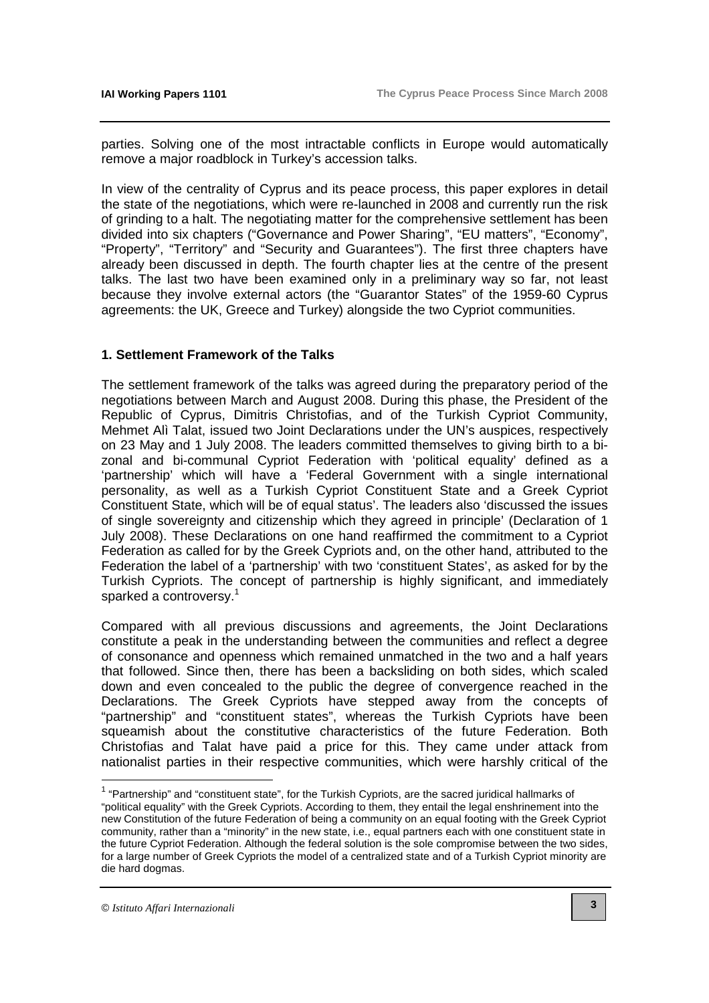parties. Solving one of the most intractable conflicts in Europe would automatically remove a major roadblock in Turkey's accession talks.

In view of the centrality of Cyprus and its peace process, this paper explores in detail the state of the negotiations, which were re-launched in 2008 and currently run the risk of grinding to a halt. The negotiating matter for the comprehensive settlement has been divided into six chapters ("Governance and Power Sharing", "EU matters", "Economy", "Property", "Territory" and "Security and Guarantees"). The first three chapters have already been discussed in depth. The fourth chapter lies at the centre of the present talks. The last two have been examined only in a preliminary way so far, not least because they involve external actors (the "Guarantor States" of the 1959-60 Cyprus agreements: the UK, Greece and Turkey) alongside the two Cypriot communities.

#### **1. Settlement Framework of the Talks**

The settlement framework of the talks was agreed during the preparatory period of the negotiations between March and August 2008. During this phase, the President of the Republic of Cyprus, Dimitris Christofias, and of the Turkish Cypriot Community, Mehmet Alì Talat, issued two Joint Declarations under the UN's auspices, respectively on 23 May and 1 July 2008. The leaders committed themselves to giving birth to a bizonal and bi-communal Cypriot Federation with 'political equality' defined as a 'partnership' which will have a 'Federal Government with a single international personality, as well as a Turkish Cypriot Constituent State and a Greek Cypriot Constituent State, which will be of equal status'. The leaders also 'discussed the issues of single sovereignty and citizenship which they agreed in principle' (Declaration of 1 July 2008). These Declarations on one hand reaffirmed the commitment to a Cypriot Federation as called for by the Greek Cypriots and, on the other hand, attributed to the Federation the label of a 'partnership' with two 'constituent States', as asked for by the Turkish Cypriots. The concept of partnership is highly significant, and immediately sparked a controversy.<sup>1</sup>

Compared with all previous discussions and agreements, the Joint Declarations constitute a peak in the understanding between the communities and reflect a degree of consonance and openness which remained unmatched in the two and a half years that followed. Since then, there has been a backsliding on both sides, which scaled down and even concealed to the public the degree of convergence reached in the Declarations. The Greek Cypriots have stepped away from the concepts of "partnership" and "constituent states", whereas the Turkish Cypriots have been squeamish about the constitutive characteristics of the future Federation. Both Christofias and Talat have paid a price for this. They came under attack from nationalist parties in their respective communities, which were harshly critical of the

"political equality" with the Greek Cypriots. According to them, they entail the legal enshrinement into the new Constitution of the future Federation of being a community on an equal footing with the Greek Cypriot community, rather than a "minority" in the new state, i.e., equal partners each with one constituent state in the future Cypriot Federation. Although the federal solution is the sole compromise between the two sides, for a large number of Greek Cypriots the model of a centralized state and of a Turkish Cypriot minority are die hard dogmas.

 $\overline{a}$ 

<sup>&</sup>lt;sup>1</sup> "Partnership" and "constituent state", for the Turkish Cypriots, are the sacred juridical hallmarks of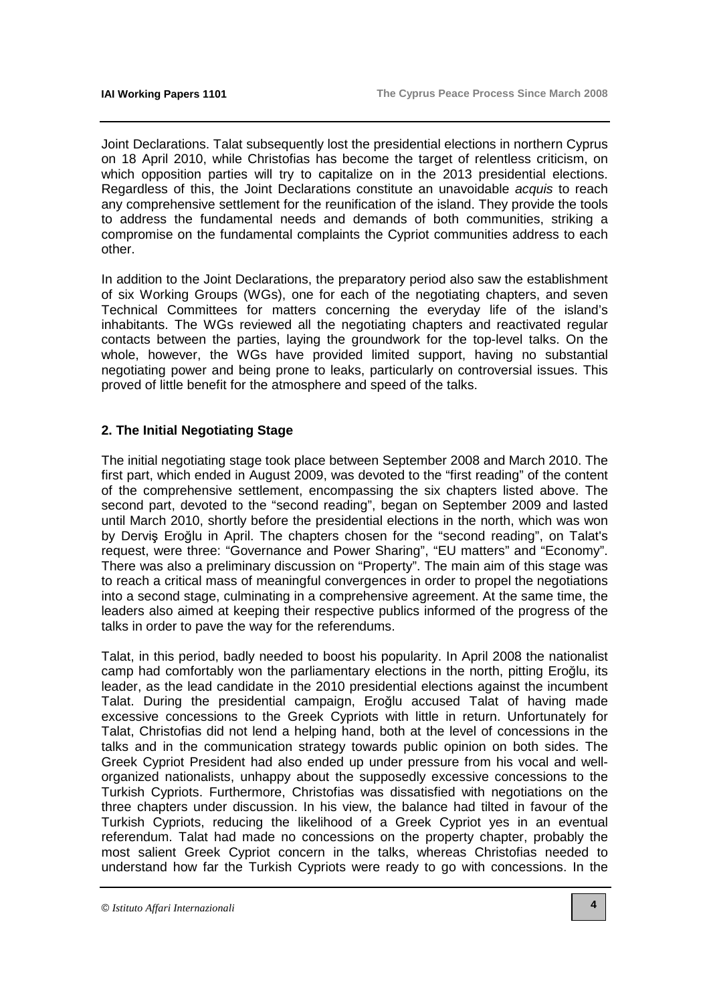Joint Declarations. Talat subsequently lost the presidential elections in northern Cyprus on 18 April 2010, while Christofias has become the target of relentless criticism, on which opposition parties will try to capitalize on in the 2013 presidential elections. Regardless of this, the Joint Declarations constitute an unavoidable acquis to reach any comprehensive settlement for the reunification of the island. They provide the tools to address the fundamental needs and demands of both communities, striking a compromise on the fundamental complaints the Cypriot communities address to each other.

In addition to the Joint Declarations, the preparatory period also saw the establishment of six Working Groups (WGs), one for each of the negotiating chapters, and seven Technical Committees for matters concerning the everyday life of the island's inhabitants. The WGs reviewed all the negotiating chapters and reactivated regular contacts between the parties, laying the groundwork for the top-level talks. On the whole, however, the WGs have provided limited support, having no substantial negotiating power and being prone to leaks, particularly on controversial issues. This proved of little benefit for the atmosphere and speed of the talks.

### **2. The Initial Negotiating Stage**

The initial negotiating stage took place between September 2008 and March 2010. The first part, which ended in August 2009, was devoted to the "first reading" of the content of the comprehensive settlement, encompassing the six chapters listed above. The second part, devoted to the "second reading", began on September 2009 and lasted until March 2010, shortly before the presidential elections in the north, which was won by Derviş Eroğlu in April. The chapters chosen for the "second reading", on Talat's request, were three: "Governance and Power Sharing", "EU matters" and "Economy". There was also a preliminary discussion on "Property". The main aim of this stage was to reach a critical mass of meaningful convergences in order to propel the negotiations into a second stage, culminating in a comprehensive agreement. At the same time, the leaders also aimed at keeping their respective publics informed of the progress of the talks in order to pave the way for the referendums.

Talat, in this period, badly needed to boost his popularity. In April 2008 the nationalist camp had comfortably won the parliamentary elections in the north, pitting Eroğlu, its leader, as the lead candidate in the 2010 presidential elections against the incumbent Talat. During the presidential campaign, Eroğlu accused Talat of having made excessive concessions to the Greek Cypriots with little in return. Unfortunately for Talat, Christofias did not lend a helping hand, both at the level of concessions in the talks and in the communication strategy towards public opinion on both sides. The Greek Cypriot President had also ended up under pressure from his vocal and wellorganized nationalists, unhappy about the supposedly excessive concessions to the Turkish Cypriots. Furthermore, Christofias was dissatisfied with negotiations on the three chapters under discussion. In his view, the balance had tilted in favour of the Turkish Cypriots, reducing the likelihood of a Greek Cypriot yes in an eventual referendum. Talat had made no concessions on the property chapter, probably the most salient Greek Cypriot concern in the talks, whereas Christofias needed to understand how far the Turkish Cypriots were ready to go with concessions. In the

<sup>©</sup> *Istituto Affari Internazionali*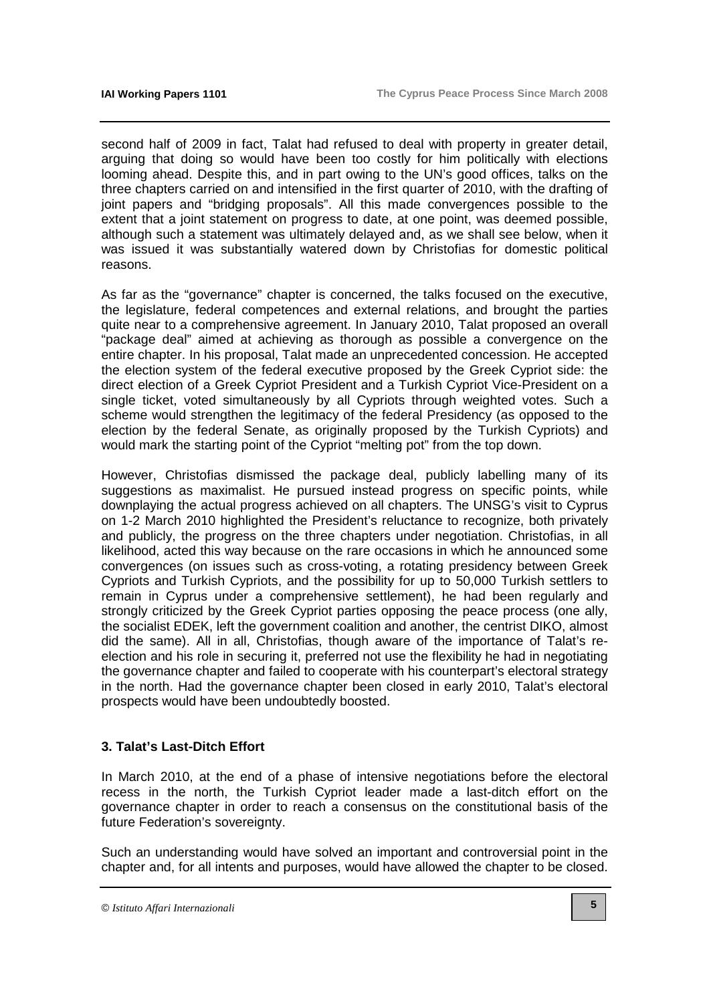second half of 2009 in fact, Talat had refused to deal with property in greater detail, arguing that doing so would have been too costly for him politically with elections looming ahead. Despite this, and in part owing to the UN's good offices, talks on the three chapters carried on and intensified in the first quarter of 2010, with the drafting of joint papers and "bridging proposals". All this made convergences possible to the extent that a joint statement on progress to date, at one point, was deemed possible, although such a statement was ultimately delayed and, as we shall see below, when it was issued it was substantially watered down by Christofias for domestic political reasons.

As far as the "governance" chapter is concerned, the talks focused on the executive, the legislature, federal competences and external relations, and brought the parties quite near to a comprehensive agreement. In January 2010, Talat proposed an overall "package deal" aimed at achieving as thorough as possible a convergence on the entire chapter. In his proposal, Talat made an unprecedented concession. He accepted the election system of the federal executive proposed by the Greek Cypriot side: the direct election of a Greek Cypriot President and a Turkish Cypriot Vice-President on a single ticket, voted simultaneously by all Cypriots through weighted votes. Such a scheme would strengthen the legitimacy of the federal Presidency (as opposed to the election by the federal Senate, as originally proposed by the Turkish Cypriots) and would mark the starting point of the Cypriot "melting pot" from the top down.

However, Christofias dismissed the package deal, publicly labelling many of its suggestions as maximalist. He pursued instead progress on specific points, while downplaying the actual progress achieved on all chapters. The UNSG's visit to Cyprus on 1-2 March 2010 highlighted the President's reluctance to recognize, both privately and publicly, the progress on the three chapters under negotiation. Christofias, in all likelihood, acted this way because on the rare occasions in which he announced some convergences (on issues such as cross-voting, a rotating presidency between Greek Cypriots and Turkish Cypriots, and the possibility for up to 50,000 Turkish settlers to remain in Cyprus under a comprehensive settlement), he had been regularly and strongly criticized by the Greek Cypriot parties opposing the peace process (one ally, the socialist EDEK, left the government coalition and another, the centrist DIKO, almost did the same). All in all, Christofias, though aware of the importance of Talat's reelection and his role in securing it, preferred not use the flexibility he had in negotiating the governance chapter and failed to cooperate with his counterpart's electoral strategy in the north. Had the governance chapter been closed in early 2010, Talat's electoral prospects would have been undoubtedly boosted.

### **3. Talat's Last-Ditch Effort**

In March 2010, at the end of a phase of intensive negotiations before the electoral recess in the north, the Turkish Cypriot leader made a last-ditch effort on the governance chapter in order to reach a consensus on the constitutional basis of the future Federation's sovereignty.

Such an understanding would have solved an important and controversial point in the chapter and, for all intents and purposes, would have allowed the chapter to be closed.

<sup>©</sup> *Istituto Affari Internazionali*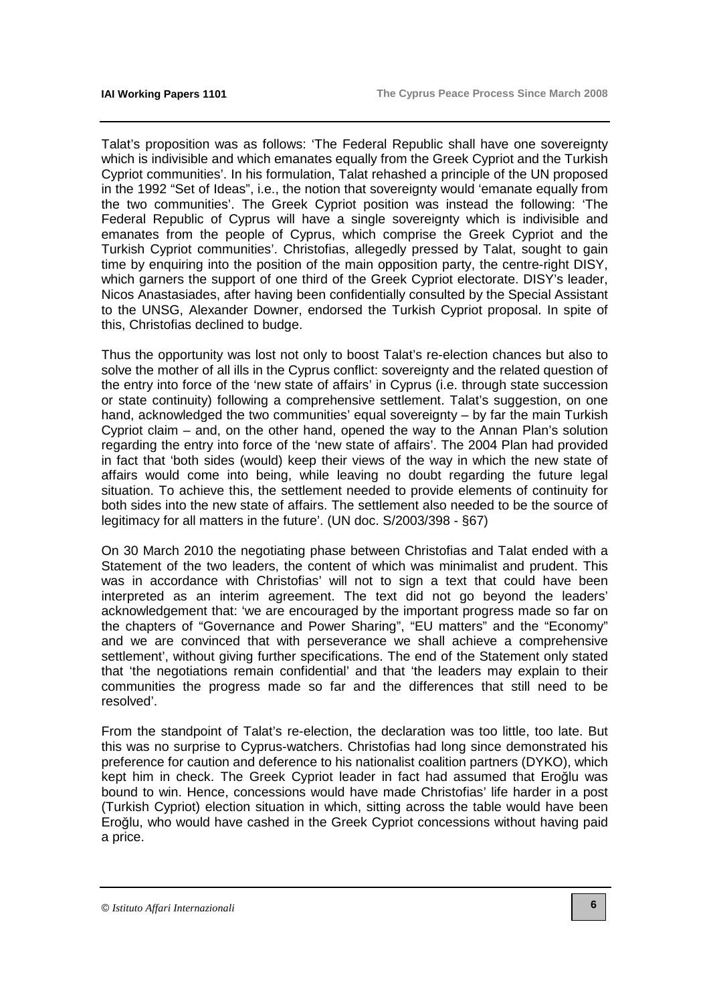Talat's proposition was as follows: 'The Federal Republic shall have one sovereignty which is indivisible and which emanates equally from the Greek Cypriot and the Turkish Cypriot communities'. In his formulation, Talat rehashed a principle of the UN proposed in the 1992 "Set of Ideas", i.e., the notion that sovereignty would 'emanate equally from the two communities'. The Greek Cypriot position was instead the following: 'The Federal Republic of Cyprus will have a single sovereignty which is indivisible and emanates from the people of Cyprus, which comprise the Greek Cypriot and the Turkish Cypriot communities'. Christofias, allegedly pressed by Talat, sought to gain time by enquiring into the position of the main opposition party, the centre-right DISY, which garners the support of one third of the Greek Cypriot electorate. DISY's leader, Nicos Anastasiades, after having been confidentially consulted by the Special Assistant to the UNSG, Alexander Downer, endorsed the Turkish Cypriot proposal. In spite of this, Christofias declined to budge.

Thus the opportunity was lost not only to boost Talat's re-election chances but also to solve the mother of all ills in the Cyprus conflict: sovereignty and the related question of the entry into force of the 'new state of affairs' in Cyprus (i.e. through state succession or state continuity) following a comprehensive settlement. Talat's suggestion, on one hand, acknowledged the two communities' equal sovereignty – by far the main Turkish Cypriot claim – and, on the other hand, opened the way to the Annan Plan's solution regarding the entry into force of the 'new state of affairs'. The 2004 Plan had provided in fact that 'both sides (would) keep their views of the way in which the new state of affairs would come into being, while leaving no doubt regarding the future legal situation. To achieve this, the settlement needed to provide elements of continuity for both sides into the new state of affairs. The settlement also needed to be the source of legitimacy for all matters in the future'. (UN doc. S/2003/398 - §67)

On 30 March 2010 the negotiating phase between Christofias and Talat ended with a Statement of the two leaders, the content of which was minimalist and prudent. This was in accordance with Christofias' will not to sign a text that could have been interpreted as an interim agreement. The text did not go beyond the leaders' acknowledgement that: 'we are encouraged by the important progress made so far on the chapters of "Governance and Power Sharing", "EU matters" and the "Economy" and we are convinced that with perseverance we shall achieve a comprehensive settlement', without giving further specifications. The end of the Statement only stated that 'the negotiations remain confidential' and that 'the leaders may explain to their communities the progress made so far and the differences that still need to be resolved'.

From the standpoint of Talat's re-election, the declaration was too little, too late. But this was no surprise to Cyprus-watchers. Christofias had long since demonstrated his preference for caution and deference to his nationalist coalition partners (DYKO), which kept him in check. The Greek Cypriot leader in fact had assumed that Eroğlu was bound to win. Hence, concessions would have made Christofias' life harder in a post (Turkish Cypriot) election situation in which, sitting across the table would have been Eroğlu, who would have cashed in the Greek Cypriot concessions without having paid a price.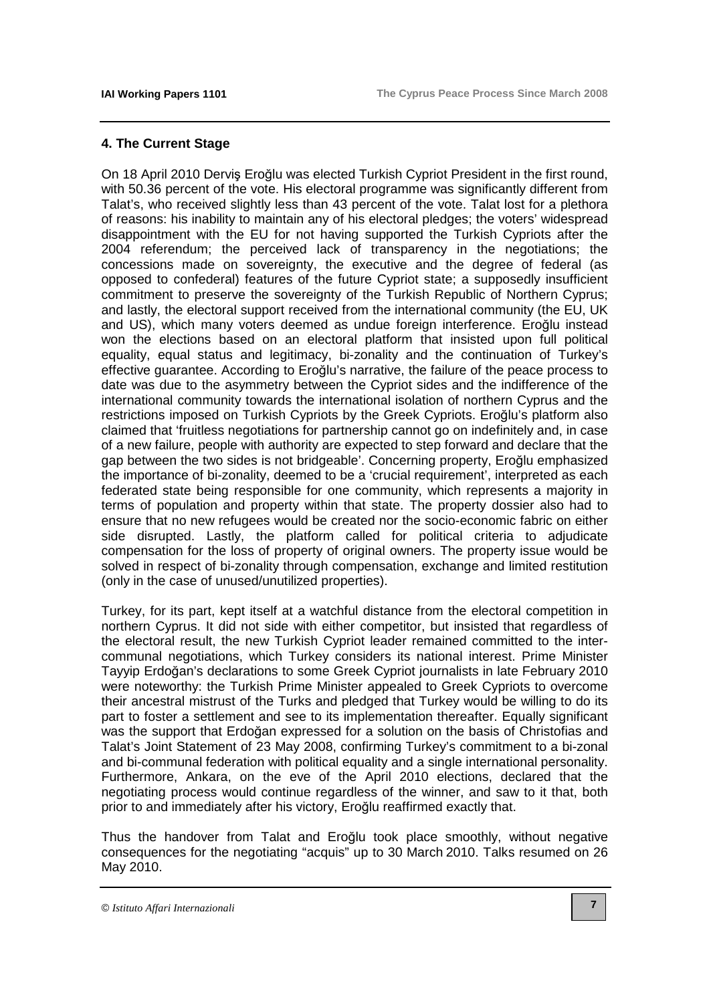#### **4. The Current Stage**

On 18 April 2010 Derviş Eroğlu was elected Turkish Cypriot President in the first round, with 50.36 percent of the vote. His electoral programme was significantly different from Talat's, who received slightly less than 43 percent of the vote. Talat lost for a plethora of reasons: his inability to maintain any of his electoral pledges; the voters' widespread disappointment with the EU for not having supported the Turkish Cypriots after the 2004 referendum; the perceived lack of transparency in the negotiations; the concessions made on sovereignty, the executive and the degree of federal (as opposed to confederal) features of the future Cypriot state; a supposedly insufficient commitment to preserve the sovereignty of the Turkish Republic of Northern Cyprus; and lastly, the electoral support received from the international community (the EU, UK and US), which many voters deemed as undue foreign interference. Eroğlu instead won the elections based on an electoral platform that insisted upon full political equality, equal status and legitimacy, bi-zonality and the continuation of Turkey's effective guarantee. According to Eroğlu's narrative, the failure of the peace process to date was due to the asymmetry between the Cypriot sides and the indifference of the international community towards the international isolation of northern Cyprus and the restrictions imposed on Turkish Cypriots by the Greek Cypriots. Eroğlu's platform also claimed that 'fruitless negotiations for partnership cannot go on indefinitely and, in case of a new failure, people with authority are expected to step forward and declare that the gap between the two sides is not bridgeable'. Concerning property, Eroğlu emphasized the importance of bi-zonality, deemed to be a 'crucial requirement', interpreted as each federated state being responsible for one community, which represents a majority in terms of population and property within that state. The property dossier also had to ensure that no new refugees would be created nor the socio-economic fabric on either side disrupted. Lastly, the platform called for political criteria to adjudicate compensation for the loss of property of original owners. The property issue would be solved in respect of bi-zonality through compensation, exchange and limited restitution (only in the case of unused/unutilized properties).

Turkey, for its part, kept itself at a watchful distance from the electoral competition in northern Cyprus. It did not side with either competitor, but insisted that regardless of the electoral result, the new Turkish Cypriot leader remained committed to the intercommunal negotiations, which Turkey considers its national interest. Prime Minister Tayyip Erdoğan's declarations to some Greek Cypriot journalists in late February 2010 were noteworthy: the Turkish Prime Minister appealed to Greek Cypriots to overcome their ancestral mistrust of the Turks and pledged that Turkey would be willing to do its part to foster a settlement and see to its implementation thereafter. Equally significant was the support that Erdoğan expressed for a solution on the basis of Christofias and Talat's Joint Statement of 23 May 2008, confirming Turkey's commitment to a bi-zonal and bi-communal federation with political equality and a single international personality. Furthermore, Ankara, on the eve of the April 2010 elections, declared that the negotiating process would continue regardless of the winner, and saw to it that, both prior to and immediately after his victory, Eroğlu reaffirmed exactly that.

Thus the handover from Talat and Eroğlu took place smoothly, without negative consequences for the negotiating "acquis" up to 30 March 2010. Talks resumed on 26 May 2010.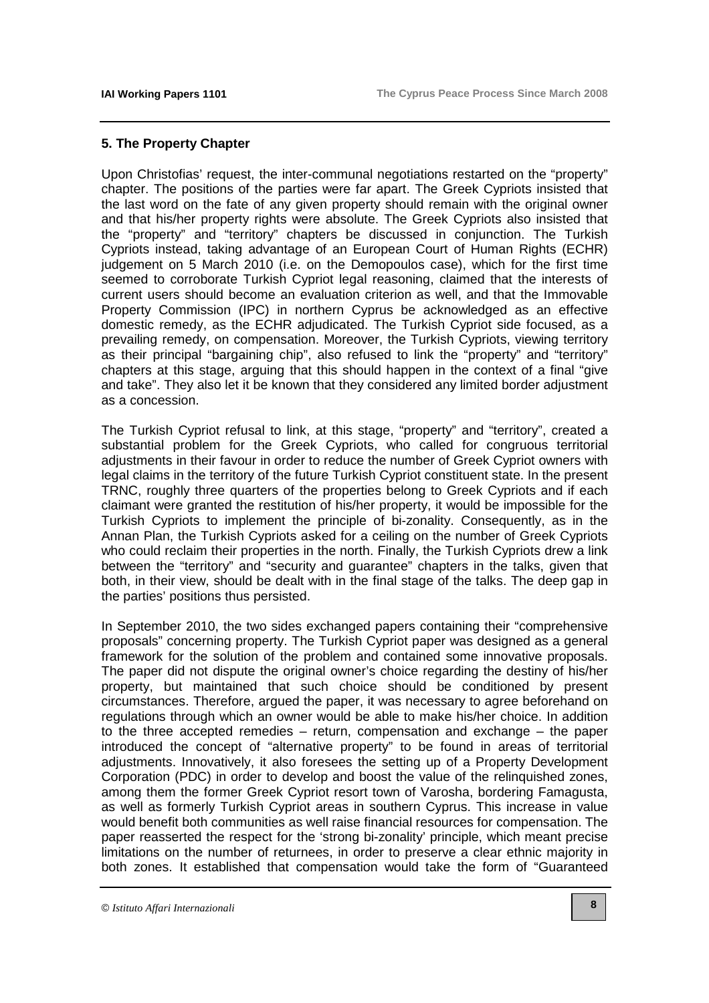#### **5. The Property Chapter**

Upon Christofias' request, the inter-communal negotiations restarted on the "property" chapter. The positions of the parties were far apart. The Greek Cypriots insisted that the last word on the fate of any given property should remain with the original owner and that his/her property rights were absolute. The Greek Cypriots also insisted that the "property" and "territory" chapters be discussed in conjunction. The Turkish Cypriots instead, taking advantage of an European Court of Human Rights (ECHR) judgement on 5 March 2010 (i.e. on the Demopoulos case), which for the first time seemed to corroborate Turkish Cypriot legal reasoning, claimed that the interests of current users should become an evaluation criterion as well, and that the Immovable Property Commission (IPC) in northern Cyprus be acknowledged as an effective domestic remedy, as the ECHR adjudicated. The Turkish Cypriot side focused, as a prevailing remedy, on compensation. Moreover, the Turkish Cypriots, viewing territory as their principal "bargaining chip", also refused to link the "property" and "territory" chapters at this stage, arguing that this should happen in the context of a final "give and take". They also let it be known that they considered any limited border adjustment as a concession.

The Turkish Cypriot refusal to link, at this stage, "property" and "territory", created a substantial problem for the Greek Cypriots, who called for congruous territorial adjustments in their favour in order to reduce the number of Greek Cypriot owners with legal claims in the territory of the future Turkish Cypriot constituent state. In the present TRNC, roughly three quarters of the properties belong to Greek Cypriots and if each claimant were granted the restitution of his/her property, it would be impossible for the Turkish Cypriots to implement the principle of bi-zonality. Consequently, as in the Annan Plan, the Turkish Cypriots asked for a ceiling on the number of Greek Cypriots who could reclaim their properties in the north. Finally, the Turkish Cypriots drew a link between the "territory" and "security and guarantee" chapters in the talks, given that both, in their view, should be dealt with in the final stage of the talks. The deep gap in the parties' positions thus persisted.

In September 2010, the two sides exchanged papers containing their "comprehensive proposals" concerning property. The Turkish Cypriot paper was designed as a general framework for the solution of the problem and contained some innovative proposals. The paper did not dispute the original owner's choice regarding the destiny of his/her property, but maintained that such choice should be conditioned by present circumstances. Therefore, argued the paper, it was necessary to agree beforehand on regulations through which an owner would be able to make his/her choice. In addition to the three accepted remedies – return, compensation and exchange – the paper introduced the concept of "alternative property" to be found in areas of territorial adjustments. Innovatively, it also foresees the setting up of a Property Development Corporation (PDC) in order to develop and boost the value of the relinquished zones, among them the former Greek Cypriot resort town of Varosha, bordering Famagusta, as well as formerly Turkish Cypriot areas in southern Cyprus. This increase in value would benefit both communities as well raise financial resources for compensation. The paper reasserted the respect for the 'strong bi-zonality' principle, which meant precise limitations on the number of returnees, in order to preserve a clear ethnic majority in both zones. It established that compensation would take the form of "Guaranteed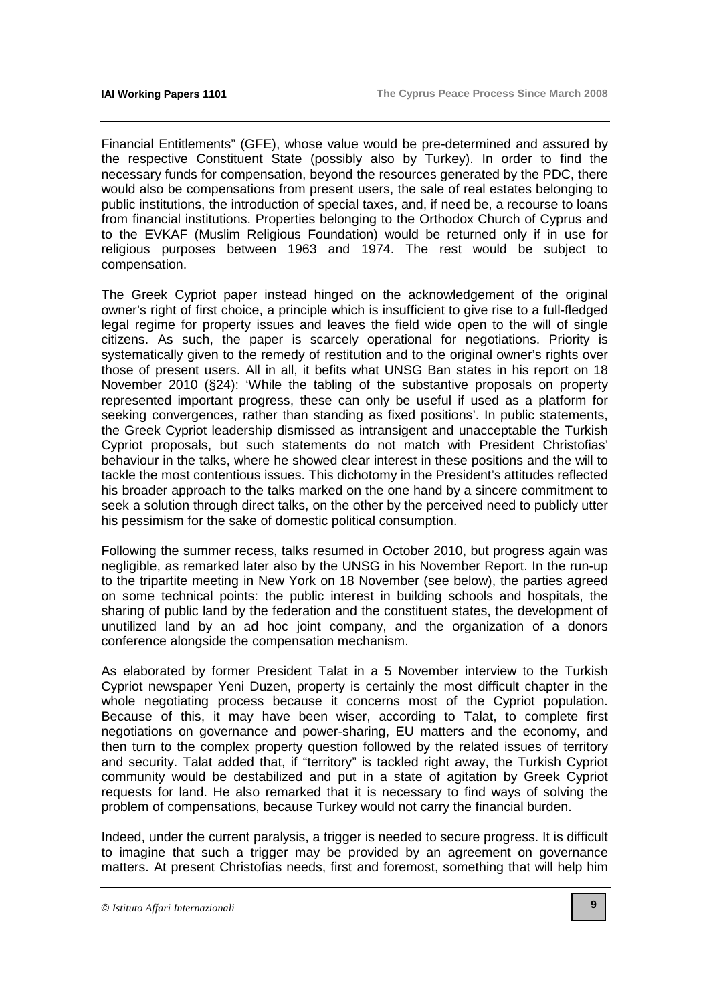Financial Entitlements" (GFE), whose value would be pre-determined and assured by the respective Constituent State (possibly also by Turkey). In order to find the necessary funds for compensation, beyond the resources generated by the PDC, there would also be compensations from present users, the sale of real estates belonging to public institutions, the introduction of special taxes, and, if need be, a recourse to loans from financial institutions. Properties belonging to the Orthodox Church of Cyprus and to the EVKAF (Muslim Religious Foundation) would be returned only if in use for religious purposes between 1963 and 1974. The rest would be subject to compensation.

The Greek Cypriot paper instead hinged on the acknowledgement of the original owner's right of first choice, a principle which is insufficient to give rise to a full-fledged legal regime for property issues and leaves the field wide open to the will of single citizens. As such, the paper is scarcely operational for negotiations. Priority is systematically given to the remedy of restitution and to the original owner's rights over those of present users. All in all, it befits what UNSG Ban states in his report on 18 November 2010 (§24): 'While the tabling of the substantive proposals on property represented important progress, these can only be useful if used as a platform for seeking convergences, rather than standing as fixed positions'. In public statements, the Greek Cypriot leadership dismissed as intransigent and unacceptable the Turkish Cypriot proposals, but such statements do not match with President Christofias' behaviour in the talks, where he showed clear interest in these positions and the will to tackle the most contentious issues. This dichotomy in the President's attitudes reflected his broader approach to the talks marked on the one hand by a sincere commitment to seek a solution through direct talks, on the other by the perceived need to publicly utter his pessimism for the sake of domestic political consumption.

Following the summer recess, talks resumed in October 2010, but progress again was negligible, as remarked later also by the UNSG in his November Report. In the run-up to the tripartite meeting in New York on 18 November (see below), the parties agreed on some technical points: the public interest in building schools and hospitals, the sharing of public land by the federation and the constituent states, the development of unutilized land by an ad hoc joint company, and the organization of a donors conference alongside the compensation mechanism.

As elaborated by former President Talat in a 5 November interview to the Turkish Cypriot newspaper Yeni Duzen, property is certainly the most difficult chapter in the whole negotiating process because it concerns most of the Cypriot population. Because of this, it may have been wiser, according to Talat, to complete first negotiations on governance and power-sharing, EU matters and the economy, and then turn to the complex property question followed by the related issues of territory and security. Talat added that, if "territory" is tackled right away, the Turkish Cypriot community would be destabilized and put in a state of agitation by Greek Cypriot requests for land. He also remarked that it is necessary to find ways of solving the problem of compensations, because Turkey would not carry the financial burden.

Indeed, under the current paralysis, a trigger is needed to secure progress. It is difficult to imagine that such a trigger may be provided by an agreement on governance matters. At present Christofias needs, first and foremost, something that will help him

<sup>©</sup> *Istituto Affari Internazionali*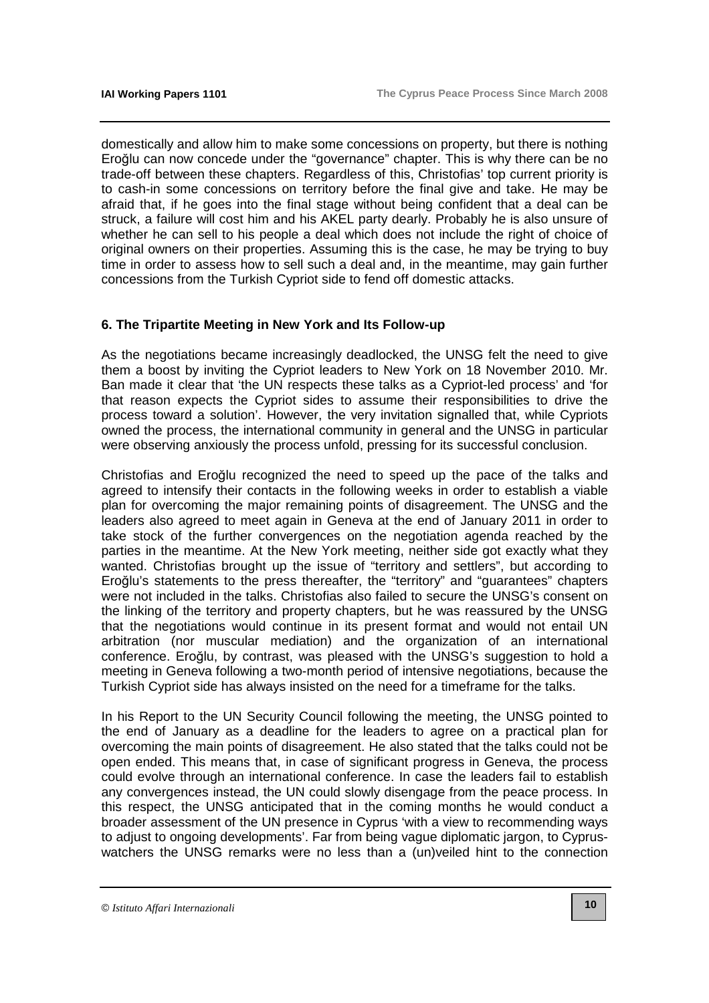domestically and allow him to make some concessions on property, but there is nothing Eroğlu can now concede under the "governance" chapter. This is why there can be no trade-off between these chapters. Regardless of this, Christofias' top current priority is to cash-in some concessions on territory before the final give and take. He may be afraid that, if he goes into the final stage without being confident that a deal can be struck, a failure will cost him and his AKEL party dearly. Probably he is also unsure of whether he can sell to his people a deal which does not include the right of choice of original owners on their properties. Assuming this is the case, he may be trying to buy time in order to assess how to sell such a deal and, in the meantime, may gain further concessions from the Turkish Cypriot side to fend off domestic attacks.

#### **6. The Tripartite Meeting in New York and Its Follow-up**

As the negotiations became increasingly deadlocked, the UNSG felt the need to give them a boost by inviting the Cypriot leaders to New York on 18 November 2010. Mr. Ban made it clear that 'the UN respects these talks as a Cypriot-led process' and 'for that reason expects the Cypriot sides to assume their responsibilities to drive the process toward a solution'. However, the very invitation signalled that, while Cypriots owned the process, the international community in general and the UNSG in particular were observing anxiously the process unfold, pressing for its successful conclusion.

Christofias and Eroğlu recognized the need to speed up the pace of the talks and agreed to intensify their contacts in the following weeks in order to establish a viable plan for overcoming the major remaining points of disagreement. The UNSG and the leaders also agreed to meet again in Geneva at the end of January 2011 in order to take stock of the further convergences on the negotiation agenda reached by the parties in the meantime. At the New York meeting, neither side got exactly what they wanted. Christofias brought up the issue of "territory and settlers", but according to Eroğlu's statements to the press thereafter, the "territory" and "guarantees" chapters were not included in the talks. Christofias also failed to secure the UNSG's consent on the linking of the territory and property chapters, but he was reassured by the UNSG that the negotiations would continue in its present format and would not entail UN arbitration (nor muscular mediation) and the organization of an international conference. Eroğlu, by contrast, was pleased with the UNSG's suggestion to hold a meeting in Geneva following a two-month period of intensive negotiations, because the Turkish Cypriot side has always insisted on the need for a timeframe for the talks.

In his Report to the UN Security Council following the meeting, the UNSG pointed to the end of January as a deadline for the leaders to agree on a practical plan for overcoming the main points of disagreement. He also stated that the talks could not be open ended. This means that, in case of significant progress in Geneva, the process could evolve through an international conference. In case the leaders fail to establish any convergences instead, the UN could slowly disengage from the peace process. In this respect, the UNSG anticipated that in the coming months he would conduct a broader assessment of the UN presence in Cyprus 'with a view to recommending ways to adjust to ongoing developments'. Far from being vague diplomatic jargon, to Cypruswatchers the UNSG remarks were no less than a (un)veiled hint to the connection

<sup>©</sup> *Istituto Affari Internazionali*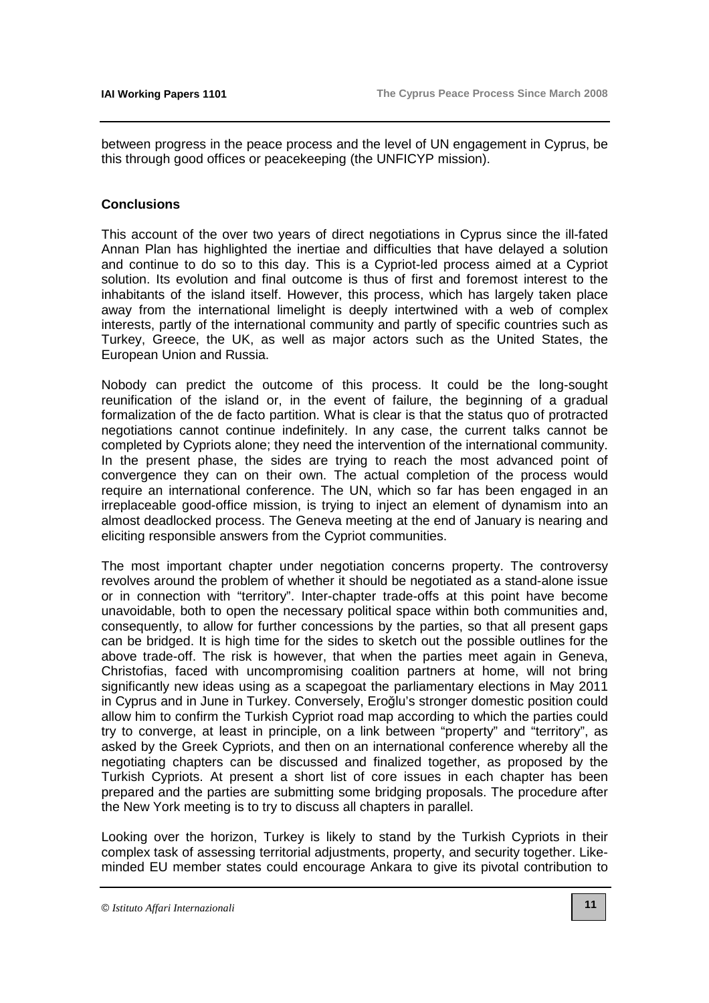between progress in the peace process and the level of UN engagement in Cyprus, be this through good offices or peacekeeping (the UNFICYP mission).

#### **Conclusions**

This account of the over two years of direct negotiations in Cyprus since the ill-fated Annan Plan has highlighted the inertiae and difficulties that have delayed a solution and continue to do so to this day. This is a Cypriot-led process aimed at a Cypriot solution. Its evolution and final outcome is thus of first and foremost interest to the inhabitants of the island itself. However, this process, which has largely taken place away from the international limelight is deeply intertwined with a web of complex interests, partly of the international community and partly of specific countries such as Turkey, Greece, the UK, as well as major actors such as the United States, the European Union and Russia.

Nobody can predict the outcome of this process. It could be the long-sought reunification of the island or, in the event of failure, the beginning of a gradual formalization of the de facto partition. What is clear is that the status quo of protracted negotiations cannot continue indefinitely. In any case, the current talks cannot be completed by Cypriots alone; they need the intervention of the international community. In the present phase, the sides are trying to reach the most advanced point of convergence they can on their own. The actual completion of the process would require an international conference. The UN, which so far has been engaged in an irreplaceable good-office mission, is trying to inject an element of dynamism into an almost deadlocked process. The Geneva meeting at the end of January is nearing and eliciting responsible answers from the Cypriot communities.

The most important chapter under negotiation concerns property. The controversy revolves around the problem of whether it should be negotiated as a stand-alone issue or in connection with "territory". Inter-chapter trade-offs at this point have become unavoidable, both to open the necessary political space within both communities and, consequently, to allow for further concessions by the parties, so that all present gaps can be bridged. It is high time for the sides to sketch out the possible outlines for the above trade-off. The risk is however, that when the parties meet again in Geneva, Christofias, faced with uncompromising coalition partners at home, will not bring significantly new ideas using as a scapegoat the parliamentary elections in May 2011 in Cyprus and in June in Turkey. Conversely, Eroğlu's stronger domestic position could allow him to confirm the Turkish Cypriot road map according to which the parties could try to converge, at least in principle, on a link between "property" and "territory", as asked by the Greek Cypriots, and then on an international conference whereby all the negotiating chapters can be discussed and finalized together, as proposed by the Turkish Cypriots. At present a short list of core issues in each chapter has been prepared and the parties are submitting some bridging proposals. The procedure after the New York meeting is to try to discuss all chapters in parallel.

Looking over the horizon, Turkey is likely to stand by the Turkish Cypriots in their complex task of assessing territorial adjustments, property, and security together. Likeminded EU member states could encourage Ankara to give its pivotal contribution to

<sup>©</sup> *Istituto Affari Internazionali*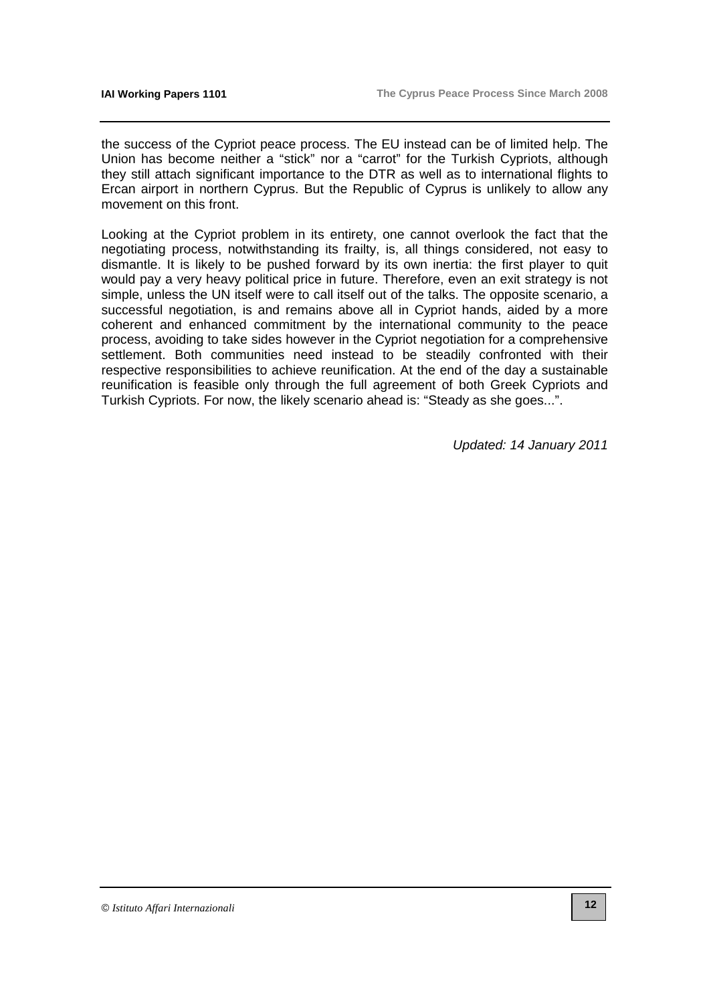the success of the Cypriot peace process. The EU instead can be of limited help. The Union has become neither a "stick" nor a "carrot" for the Turkish Cypriots, although they still attach significant importance to the DTR as well as to international flights to Ercan airport in northern Cyprus. But the Republic of Cyprus is unlikely to allow any movement on this front.

Looking at the Cypriot problem in its entirety, one cannot overlook the fact that the negotiating process, notwithstanding its frailty, is, all things considered, not easy to dismantle. It is likely to be pushed forward by its own inertia: the first player to quit would pay a very heavy political price in future. Therefore, even an exit strategy is not simple, unless the UN itself were to call itself out of the talks. The opposite scenario, a successful negotiation, is and remains above all in Cypriot hands, aided by a more coherent and enhanced commitment by the international community to the peace process, avoiding to take sides however in the Cypriot negotiation for a comprehensive settlement. Both communities need instead to be steadily confronted with their respective responsibilities to achieve reunification. At the end of the day a sustainable reunification is feasible only through the full agreement of both Greek Cypriots and Turkish Cypriots. For now, the likely scenario ahead is: "Steady as she goes...".

Updated: 14 January 2011